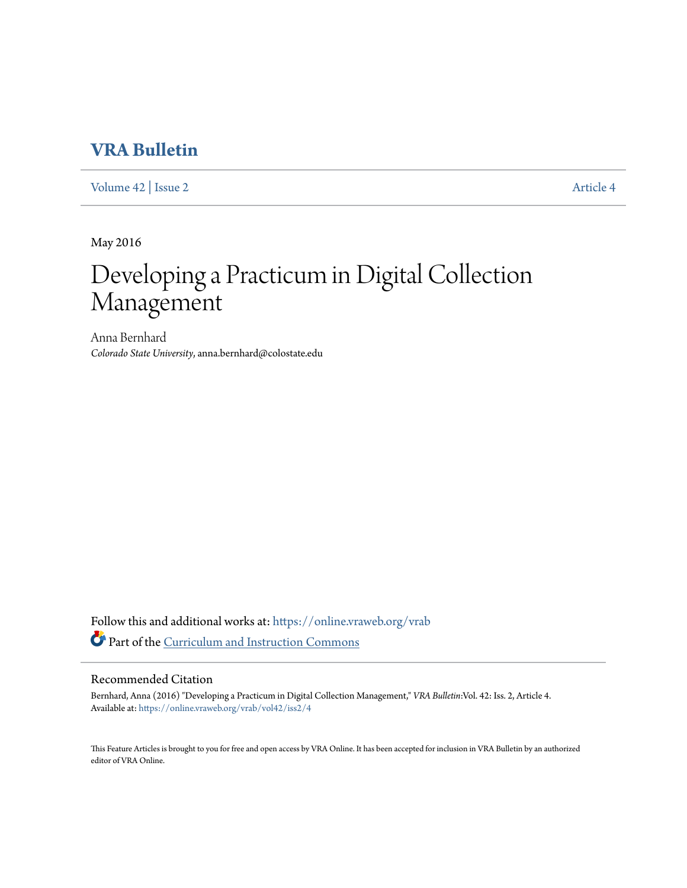### **[VRA Bulletin](https://online.vraweb.org/vrab?utm_source=online.vraweb.org%2Fvrab%2Fvol42%2Fiss2%2F4&utm_medium=PDF&utm_campaign=PDFCoverPages)**

[Volume 42](https://online.vraweb.org/vrab/vol42?utm_source=online.vraweb.org%2Fvrab%2Fvol42%2Fiss2%2F4&utm_medium=PDF&utm_campaign=PDFCoverPages) | [Issue 2](https://online.vraweb.org/vrab/vol42/iss2?utm_source=online.vraweb.org%2Fvrab%2Fvol42%2Fiss2%2F4&utm_medium=PDF&utm_campaign=PDFCoverPages) [Article 4](https://online.vraweb.org/vrab/vol42/iss2/4?utm_source=online.vraweb.org%2Fvrab%2Fvol42%2Fiss2%2F4&utm_medium=PDF&utm_campaign=PDFCoverPages)

May 2016

# Developing a Practicum in Digital Collection Management

Anna Bernhard *Colorado State University*, anna.bernhard@colostate.edu

Follow this and additional works at: [https://online.vraweb.org/vrab](https://online.vraweb.org/vrab?utm_source=online.vraweb.org%2Fvrab%2Fvol42%2Fiss2%2F4&utm_medium=PDF&utm_campaign=PDFCoverPages) Part of the [Curriculum and Instruction Commons](http://network.bepress.com/hgg/discipline/786?utm_source=online.vraweb.org%2Fvrab%2Fvol42%2Fiss2%2F4&utm_medium=PDF&utm_campaign=PDFCoverPages)

### Recommended Citation

Bernhard, Anna (2016) "Developing a Practicum in Digital Collection Management," *VRA Bulletin*:Vol. 42: Iss. 2, Article 4. Available at: [https://online.vraweb.org/vrab/vol42/iss2/4](https://online.vraweb.org/vrab/vol42/iss2/4?utm_source=online.vraweb.org%2Fvrab%2Fvol42%2Fiss2%2F4&utm_medium=PDF&utm_campaign=PDFCoverPages)

This Feature Articles is brought to you for free and open access by VRA Online. It has been accepted for inclusion in VRA Bulletin by an authorized editor of VRA Online.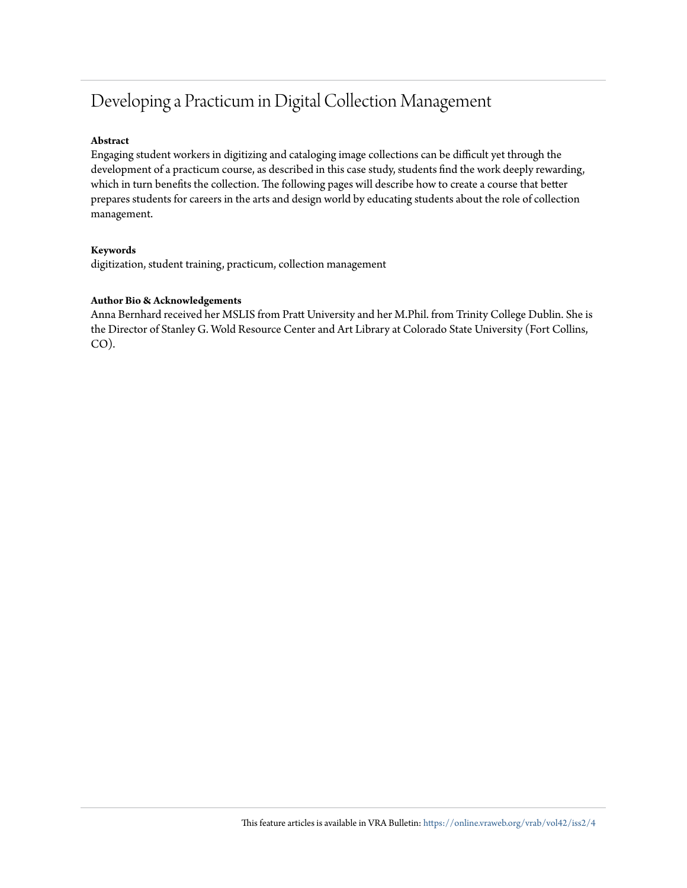## Developing a Practicum in Digital Collection Management

### **Abstract**

Engaging student workers in digitizing and cataloging image collections can be difficult yet through the development of a practicum course, as described in this case study, students find the work deeply rewarding, which in turn benefits the collection. The following pages will describe how to create a course that better prepares students for careers in the arts and design world by educating students about the role of collection management.

#### **Keywords**

digitization, student training, practicum, collection management

### **Author Bio & Acknowledgements**

Anna Bernhard received her MSLIS from Pratt University and her M.Phil. from Trinity College Dublin. She is the Director of Stanley G. Wold Resource Center and Art Library at Colorado State University (Fort Collins, CO).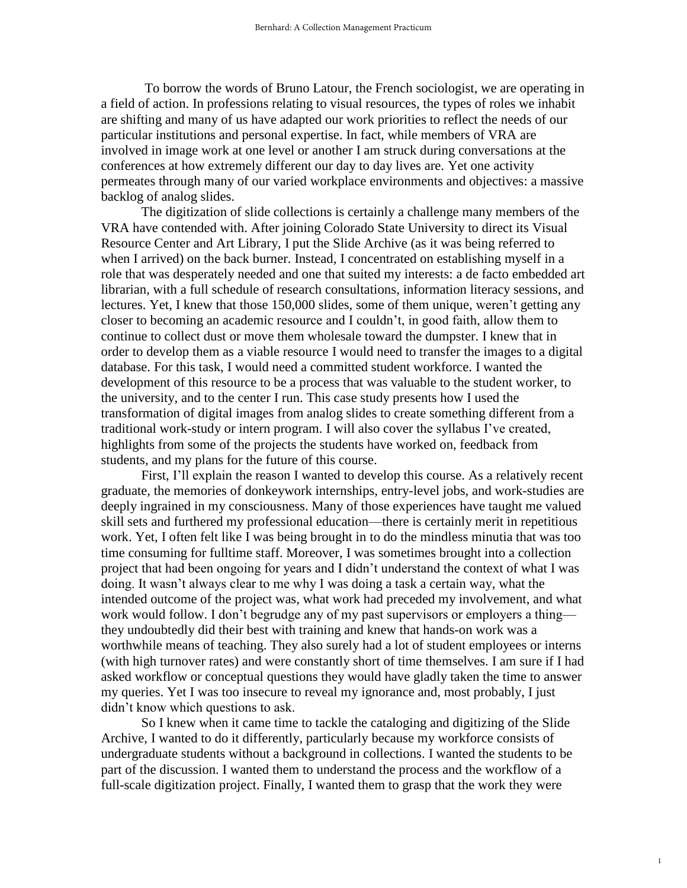To borrow the words of Bruno Latour, the French sociologist, we are operating in a field of action. In professions relating to visual resources, the types of roles we inhabit are shifting and many of us have adapted our work priorities to reflect the needs of our particular institutions and personal expertise. In fact, while members of VRA are involved in image work at one level or another I am struck during conversations at the conferences at how extremely different our day to day lives are. Yet one activity permeates through many of our varied workplace environments and objectives: a massive backlog of analog slides.

The digitization of slide collections is certainly a challenge many members of the VRA have contended with. After joining Colorado State University to direct its Visual Resource Center and Art Library, I put the Slide Archive (as it was being referred to when I arrived) on the back burner. Instead, I concentrated on establishing myself in a role that was desperately needed and one that suited my interests: a de facto embedded art librarian, with a full schedule of research consultations, information literacy sessions, and lectures. Yet, I knew that those 150,000 slides, some of them unique, weren't getting any closer to becoming an academic resource and I couldn't, in good faith, allow them to continue to collect dust or move them wholesale toward the dumpster. I knew that in order to develop them as a viable resource I would need to transfer the images to a digital database. For this task, I would need a committed student workforce. I wanted the development of this resource to be a process that was valuable to the student worker, to the university, and to the center I run. This case study presents how I used the transformation of digital images from analog slides to create something different from a traditional work-study or intern program. I will also cover the syllabus I've created, highlights from some of the projects the students have worked on, feedback from students, and my plans for the future of this course.

First, I'll explain the reason I wanted to develop this course. As a relatively recent graduate, the memories of donkeywork internships, entry-level jobs, and work-studies are deeply ingrained in my consciousness. Many of those experiences have taught me valued skill sets and furthered my professional education—there is certainly merit in repetitious work. Yet, I often felt like I was being brought in to do the mindless minutia that was too time consuming for fulltime staff. Moreover, I was sometimes brought into a collection project that had been ongoing for years and I didn't understand the context of what I was doing. It wasn't always clear to me why I was doing a task a certain way, what the intended outcome of the project was, what work had preceded my involvement, and what work would follow. I don't begrudge any of my past supervisors or employers a thing they undoubtedly did their best with training and knew that hands-on work was a worthwhile means of teaching. They also surely had a lot of student employees or interns (with high turnover rates) and were constantly short of time themselves. I am sure if I had asked workflow or conceptual questions they would have gladly taken the time to answer my queries. Yet I was too insecure to reveal my ignorance and, most probably, I just didn't know which questions to ask.

So I knew when it came time to tackle the cataloging and digitizing of the Slide Archive, I wanted to do it differently, particularly because my workforce consists of undergraduate students without a background in collections. I wanted the students to be part of the discussion. I wanted them to understand the process and the workflow of a full-scale digitization project. Finally, I wanted them to grasp that the work they were

1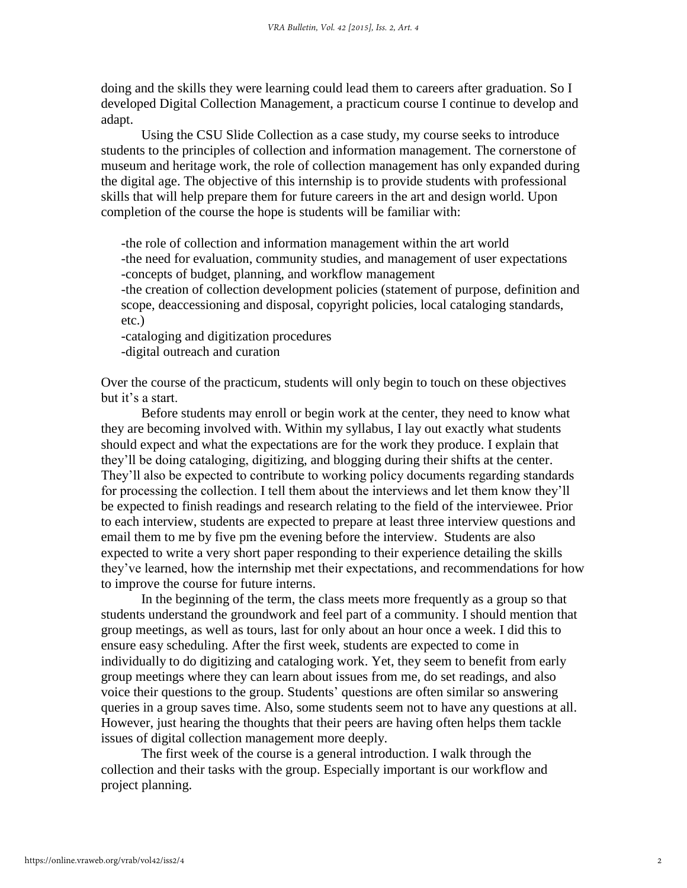doing and the skills they were learning could lead them to careers after graduation. So I developed Digital Collection Management, a practicum course I continue to develop and adapt.

Using the CSU Slide Collection as a case study, my course seeks to introduce students to the principles of collection and information management. The cornerstone of museum and heritage work, the role of collection management has only expanded during the digital age. The objective of this internship is to provide students with professional skills that will help prepare them for future careers in the art and design world. Upon completion of the course the hope is students will be familiar with:

-the role of collection and information management within the art world -the need for evaluation, community studies, and management of user expectations -concepts of budget, planning, and workflow management

-the creation of collection development policies (statement of purpose, definition and scope, deaccessioning and disposal, copyright policies, local cataloging standards, etc.)

-cataloging and digitization procedures -digital outreach and curation

Over the course of the practicum, students will only begin to touch on these objectives but it's a start.

Before students may enroll or begin work at the center, they need to know what they are becoming involved with. Within my syllabus, I lay out exactly what students should expect and what the expectations are for the work they produce. I explain that they'll be doing cataloging, digitizing, and blogging during their shifts at the center. They'll also be expected to contribute to working policy documents regarding standards for processing the collection. I tell them about the interviews and let them know they'll be expected to finish readings and research relating to the field of the interviewee. Prior to each interview, students are expected to prepare at least three interview questions and email them to me by five pm the evening before the interview. Students are also expected to write a very short paper responding to their experience detailing the skills they've learned, how the internship met their expectations, and recommendations for how to improve the course for future interns.

In the beginning of the term, the class meets more frequently as a group so that students understand the groundwork and feel part of a community. I should mention that group meetings, as well as tours, last for only about an hour once a week. I did this to ensure easy scheduling. After the first week, students are expected to come in individually to do digitizing and cataloging work. Yet, they seem to benefit from early group meetings where they can learn about issues from me, do set readings, and also voice their questions to the group. Students' questions are often similar so answering queries in a group saves time. Also, some students seem not to have any questions at all. However, just hearing the thoughts that their peers are having often helps them tackle issues of digital collection management more deeply.

The first week of the course is a general introduction. I walk through the collection and their tasks with the group. Especially important is our workflow and project planning.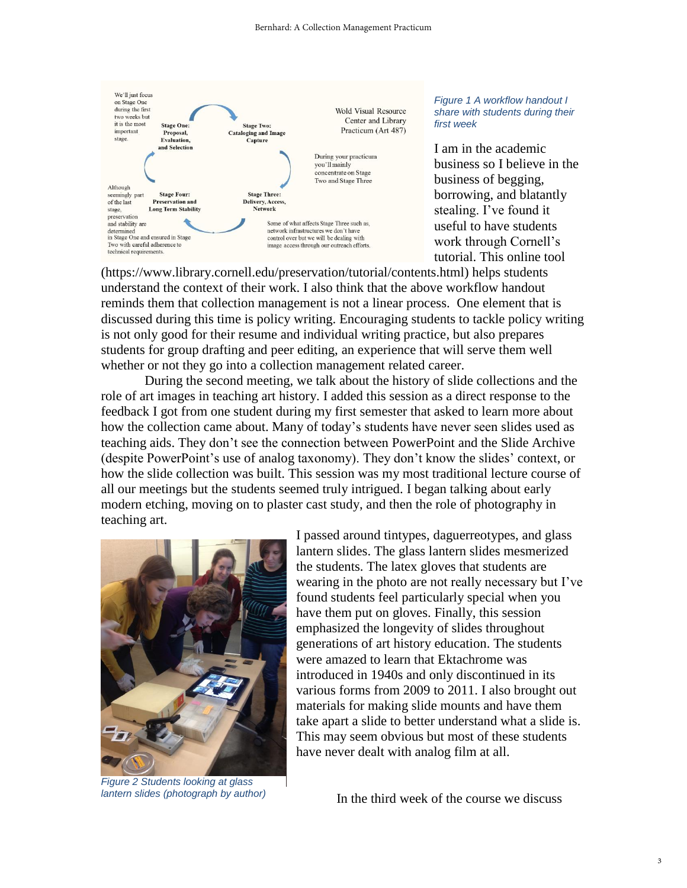

*Figure 1 A workflow handout I share with students during their first week*

I am in the academic business so I believe in the business of begging, borrowing, and blatantly stealing. I've found it useful to have students work through Cornell's tutorial. This online tool

(https://www.library.cornell.edu/preservation/tutorial/contents.html) helps students understand the context of their work. I also think that the above workflow handout reminds them that collection management is not a linear process. One element that is discussed during this time is policy writing. Encouraging students to tackle policy writing is not only good for their resume and individual writing practice, but also prepares students for group drafting and peer editing, an experience that will serve them well whether or not they go into a collection management related career.

During the second meeting, we talk about the history of slide collections and the role of art images in teaching art history. I added this session as a direct response to the feedback I got from one student during my first semester that asked to learn more about how the collection came about. Many of today's students have never seen slides used as teaching aids. They don't see the connection between PowerPoint and the Slide Archive (despite PowerPoint's use of analog taxonomy). They don't know the slides' context, or how the slide collection was built. This session was my most traditional lecture course of all our meetings but the students seemed truly intrigued. I began talking about early modern etching, moving on to plaster cast study, and then the role of photography in teaching art.



*Figure 2 Students looking at glass lantern slides (photograph by author)*

I passed around tintypes, daguerreotypes, and glass lantern slides. The glass lantern slides mesmerized the students. The latex gloves that students are wearing in the photo are not really necessary but I've found students feel particularly special when you have them put on gloves. Finally, this session emphasized the longevity of slides throughout generations of art history education. The students were amazed to learn that Ektachrome was introduced in 1940s and only discontinued in its various forms from 2009 to 2011. I also brought out materials for making slide mounts and have them take apart a slide to better understand what a slide is. This may seem obvious but most of these students have never dealt with analog film at all.

In the third week of the course we discuss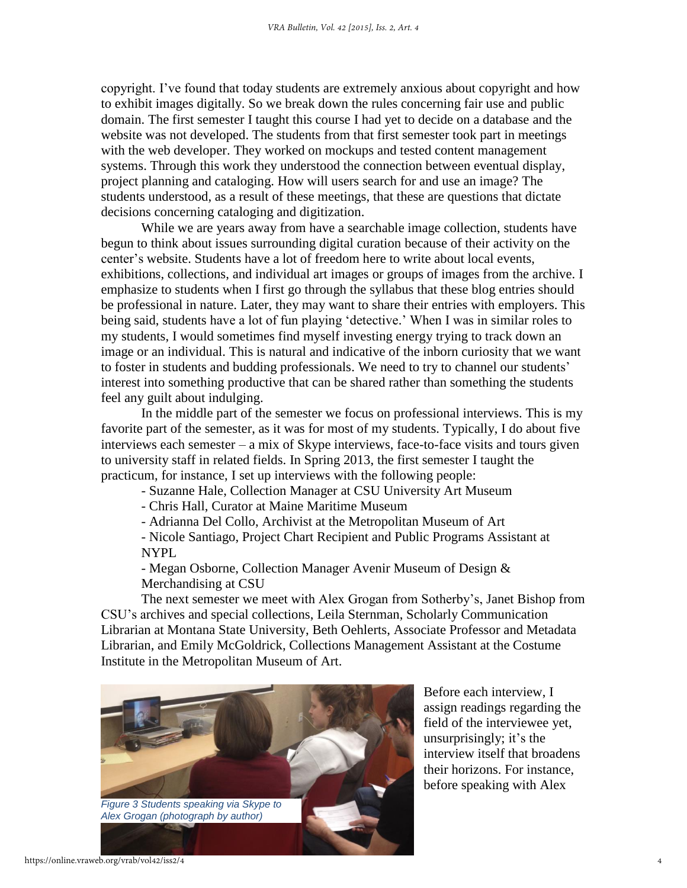copyright. I've found that today students are extremely anxious about copyright and how to exhibit images digitally. So we break down the rules concerning fair use and public domain. The first semester I taught this course I had yet to decide on a database and the website was not developed. The students from that first semester took part in meetings with the web developer. They worked on mockups and tested content management systems. Through this work they understood the connection between eventual display, project planning and cataloging. How will users search for and use an image? The students understood, as a result of these meetings, that these are questions that dictate decisions concerning cataloging and digitization.

While we are years away from have a searchable image collection, students have begun to think about issues surrounding digital curation because of their activity on the center's website. Students have a lot of freedom here to write about local events, exhibitions, collections, and individual art images or groups of images from the archive. I emphasize to students when I first go through the syllabus that these blog entries should be professional in nature. Later, they may want to share their entries with employers. This being said, students have a lot of fun playing 'detective.' When I was in similar roles to my students, I would sometimes find myself investing energy trying to track down an image or an individual. This is natural and indicative of the inborn curiosity that we want to foster in students and budding professionals. We need to try to channel our students' interest into something productive that can be shared rather than something the students feel any guilt about indulging.

In the middle part of the semester we focus on professional interviews. This is my favorite part of the semester, as it was for most of my students. Typically, I do about five interviews each semester – a mix of Skype interviews, face-to-face visits and tours given to university staff in related fields. In Spring 2013, the first semester I taught the practicum, for instance, I set up interviews with the following people:

- Suzanne Hale, Collection Manager at CSU University Art Museum
- Chris Hall, Curator at Maine Maritime Museum
- Adrianna Del Collo, Archivist at the Metropolitan Museum of Art

- Nicole Santiago, Project Chart Recipient and Public Programs Assistant at NYPL

- Megan Osborne, Collection Manager Avenir Museum of Design & Merchandising at CSU

The next semester we meet with Alex Grogan from Sotherby's, Janet Bishop from CSU's archives and special collections, Leila Sternman, Scholarly Communication Librarian at Montana State University, Beth Oehlerts, Associate Professor and Metadata Librarian, and Emily McGoldrick, Collections Management Assistant at the Costume Institute in the Metropolitan Museum of Art.



Before each interview, I assign readings regarding the field of the interviewee yet, unsurprisingly; it's the interview itself that broadens their horizons. For instance, before speaking with Alex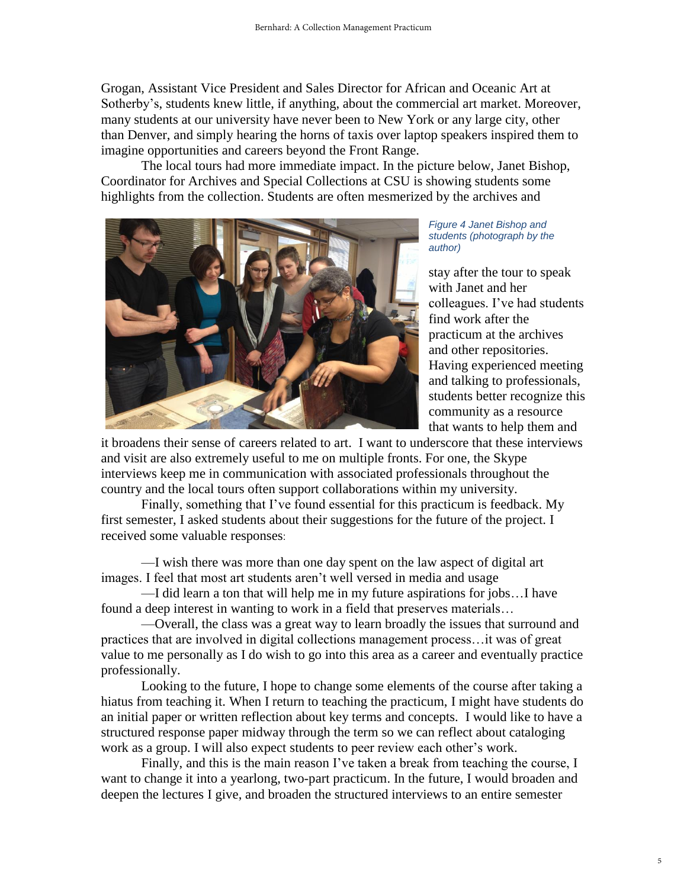Grogan, Assistant Vice President and Sales Director for African and Oceanic Art at Sotherby's, students knew little, if anything, about the commercial art market. Moreover, many students at our university have never been to New York or any large city, other than Denver, and simply hearing the horns of taxis over laptop speakers inspired them to imagine opportunities and careers beyond the Front Range.

The local tours had more immediate impact. In the picture below, Janet Bishop, Coordinator for Archives and Special Collections at CSU is showing students some highlights from the collection. Students are often mesmerized by the archives and



*Figure 4 Janet Bishop and students (photograph by the author)*

stay after the tour to speak with Janet and her colleagues. I've had students find work after the practicum at the archives and other repositories. Having experienced meeting and talking to professionals, students better recognize this community as a resource that wants to help them and

it broadens their sense of careers related to art. I want to underscore that these interviews and visit are also extremely useful to me on multiple fronts. For one, the Skype interviews keep me in communication with associated professionals throughout the country and the local tours often support collaborations within my university.

Finally, something that I've found essential for this practicum is feedback. My first semester, I asked students about their suggestions for the future of the project. I received some valuable responses:

—I wish there was more than one day spent on the law aspect of digital art images. I feel that most art students aren't well versed in media and usage

—I did learn a ton that will help me in my future aspirations for jobs…I have found a deep interest in wanting to work in a field that preserves materials…

—Overall, the class was a great way to learn broadly the issues that surround and practices that are involved in digital collections management process…it was of great value to me personally as I do wish to go into this area as a career and eventually practice professionally.

Looking to the future, I hope to change some elements of the course after taking a hiatus from teaching it. When I return to teaching the practicum, I might have students do an initial paper or written reflection about key terms and concepts. I would like to have a structured response paper midway through the term so we can reflect about cataloging work as a group. I will also expect students to peer review each other's work.

Finally, and this is the main reason I've taken a break from teaching the course, I want to change it into a yearlong, two-part practicum. In the future, I would broaden and deepen the lectures I give, and broaden the structured interviews to an entire semester